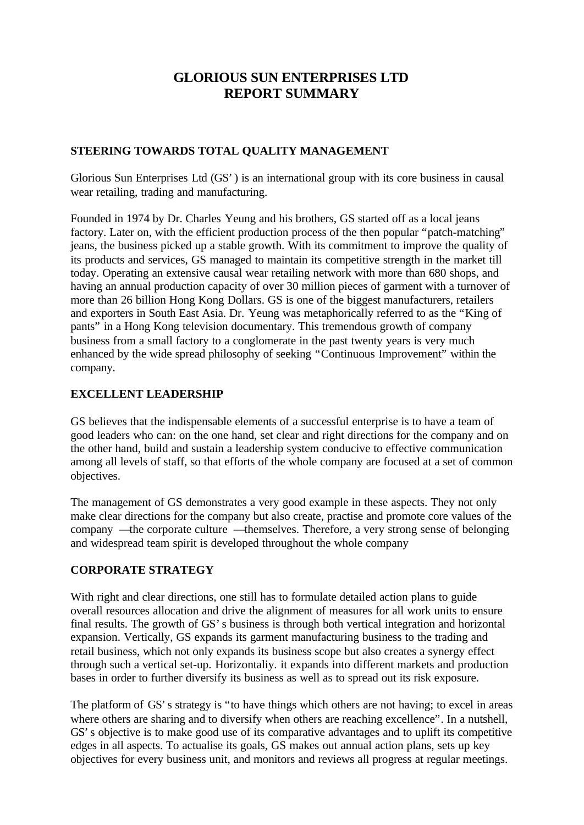# **GLORIOUS SUN ENTERPRISES LTD REPORT SUMMARY**

#### **STEERING TOWARDS TOTAL QUALITY MANAGEMENT**

Glorious Sun Enterprises Ltd (GS') is an international group with its core business in causal wear retailing, trading and manufacturing.

Founded in 1974 by Dr. Charles Yeung and his brothers, GS started off as a local jeans factory. Later on, with the efficient production process of the then popular "patch-matching" jeans, the business picked up a stable growth. With its commitment to improve the quality of its products and services, GS managed to maintain its competitive strength in the market till today. Operating an extensive causal wear retailing network with more than 680 shops, and having an annual production capacity of over 30 million pieces of garment with a turnover of more than 26 billion Hong Kong Dollars. GS is one of the biggest manufacturers, retailers and exporters in South East Asia. Dr. Yeung was metaphorically referred to as the "King of pants" in a Hong Kong television documentary. This tremendous growth of company business from a small factory to a conglomerate in the past twenty years is very much enhanced by the wide spread philosophy of seeking "Continuous Improvement" within the company.

#### **EXCELLENT LEADERSHIP**

GS believes that the indispensable elements of a successful enterprise is to have a team of good leaders who can: on the one hand, set clear and right directions for the company and on the other hand, build and sustain a leadership system conducive to effective communication among all levels of staff, so that efforts of the whole company are focused at a set of common objectives.

The management of GS demonstrates a very good example in these aspects. They not only make clear directions for the company but also create, practise and promote core values of the company — the corporate culture — themselves. Therefore, a very strong sense of belonging and widespread team spirit is developed throughout the whole company

## **CORPORATE STRATEGY**

With right and clear directions, one still has to formulate detailed action plans to guide overall resources allocation and drive the alignment of measures for all work units to ensure final results. The growth of GS's business is through both vertical integration and horizontal expansion. Vertically, GS expands its garment manufacturing business to the trading and retail business, which not only expands its business scope but also creates a synergy effect through such a vertical set-up. Horizontaliy. it expands into different markets and production bases in order to further diversify its business as well as to spread out its risk exposure.

The platform of GS's strategy is "to have things which others are not having; to excel in areas where others are sharing and to diversify when others are reaching excellence". In a nutshell, GS's objective is to make good use of its comparative advantages and to uplift its competitive edges in all aspects. To actualise its goals, GS makes out annual action plans, sets up key objectives for every business unit, and monitors and reviews all progress at regular meetings.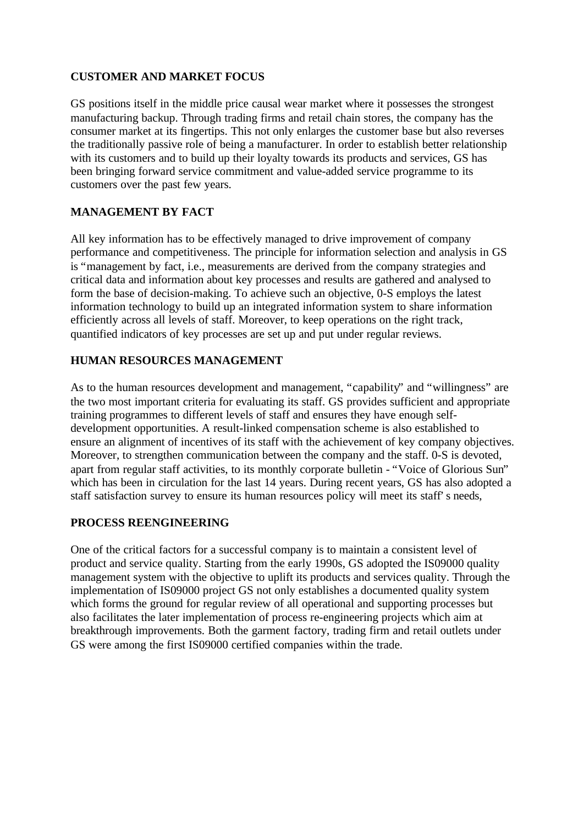#### **CUSTOMER AND MARKET FOCUS**

GS positions itself in the middle price causal wear market where it possesses the strongest manufacturing backup. Through trading firms and retail chain stores, the company has the consumer market at its fingertips. This not only enlarges the customer base but also reverses the traditionally passive role of being a manufacturer. In order to establish better relationship with its customers and to build up their loyalty towards its products and services, GS has been bringing forward service commitment and value-added service programme to its customers over the past few years.

## **MANAGEMENT BY FACT**

All key information has to be effectively managed to drive improvement of company performance and competitiveness. The principle for information selection and analysis in GS is "management by fact, i.e., measurements are derived from the company strategies and critical data and information about key processes and results are gathered and analysed to form the base of decision-making. To achieve such an objective, 0-S employs the latest information technology to build up an integrated information system to share information efficiently across all levels of staff. Moreover, to keep operations on the right track, quantified indicators of key processes are set up and put under regular reviews.

## **HUMAN RESOURCES MANAGEMENT**

As to the human resources development and management, "capability" and "willingness" are the two most important criteria for evaluating its staff. GS provides sufficient and appropriate training programmes to different levels of staff and ensures they have enough selfdevelopment opportunities. A result-linked compensation scheme is also established to ensure an alignment of incentives of its staff with the achievement of key company objectives. Moreover, to strengthen communication between the company and the staff. 0-S is devoted, apart from regular staff activities, to its monthly corporate bulletin - "Voice of Glorious Sun" which has been in circulation for the last 14 years. During recent years, GS has also adopted a staff satisfaction survey to ensure its human resources policy will meet its staff's needs,

## **PROCESS REENGINEERING**

One of the critical factors for a successful company is to maintain a consistent level of product and service quality. Starting from the early 1990s, GS adopted the IS09000 quality management system with the objective to uplift its products and services quality. Through the implementation of IS09000 project GS not only establishes a documented quality system which forms the ground for regular review of all operational and supporting processes but also facilitates the later implementation of process re-engineering projects which aim at breakthrough improvements. Both the garment factory, trading firm and retail outlets under GS were among the first IS09000 certified companies within the trade.